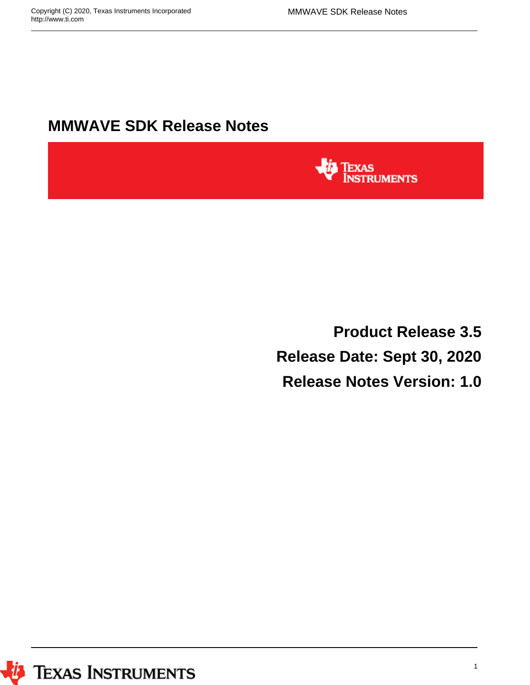# **MMWAVE SDK Release Notes**



**Product Release 3.5 Release Date: Sept 30, 2020 Release Notes Version: 1.0**

*U* Texas Instruments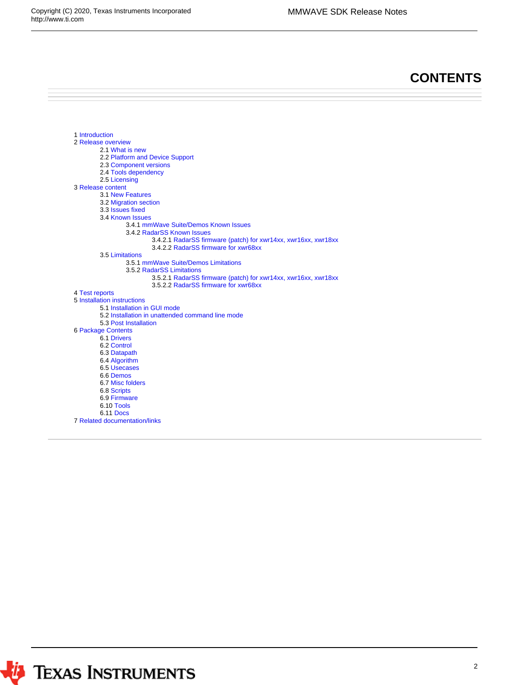## **CONTENTS**

```
1 Introduction
2 Release overview
        2.1 What is new
        2.2 Platform and Device Support
        2.3 Component versions
        2.4 Tools dependency
        2.5 Licensing
3 Release content
        3.1 New Features
        3.2 Migration section
        3.3 Issues fixed
        3.4 Known Issues
                 3.4.1 mmWave Suite/Demos Known Issues
                 3.4.2 RadarSS Known Issues
                          3.4.2.1 RadarSS firmware (patch) for xwr14xx, xwr16xx, xwr18xx 
                          3.4.2.2 RadarSS firmware for xwr68xx
        3.5 Limitations
                 3.5.1 mmWave Suite/Demos Limitations
                 3.5.2 RadarSS Limitations
                         3.5.2.1 RadarSS firmware (patch) for xwr14xx, xwr16xx, xwr18xx 
                         3.5.2.2 RadarSS firmware for xwr68xx
4 Test reports
5 Installation instructions
        5.1 Installation in GUI mode
        5.2 Installation in unattended command line mode
        5.3 Post Installation
6 Package Contents
         6.1 Drivers
        6.2 Control
        6.3 Datapath
        6.4 Algorithm
        6.5 Usecases
        6.6 Demos
        6.7 Misc folders 
        6.8 Scripts
        6.9 Firmware
        6.10 Tools
        6.11 Docs
7 Related documentation/links
```
*I* TEXAS INSTRUMENTS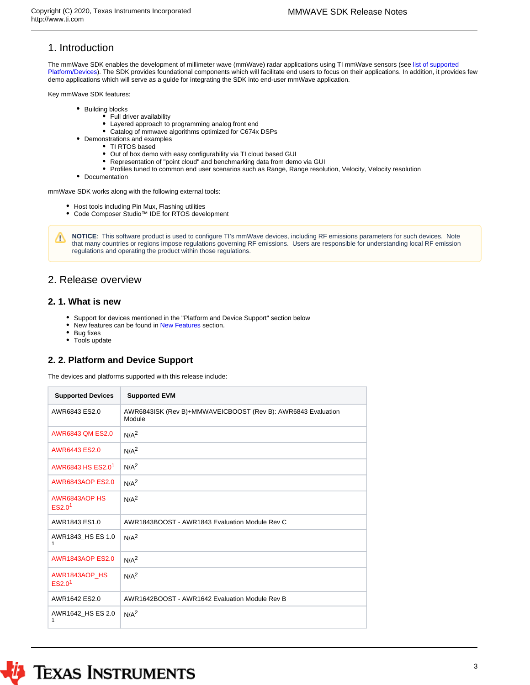## <span id="page-2-0"></span>1. Introduction

The mmWave SDK enables the development of millimeter wave (mmWave) radar applications using TI mmWave sensors (see [list of supported](#page-2-3)  [Platform/Devices](#page-2-3)). The SDK provides foundational components which will facilitate end users to focus on their applications. In addition, it provides few demo applications which will serve as a guide for integrating the SDK into end-user mmWave application.

Key mmWave SDK features:

- Building blocks
	- Full driver availability Layered approach to programming analog front end
	- Catalog of mmwave algorithms optimized for C674x DSPs
- Demonstrations and examples
	- TI RTOS based
	- Out of box demo with easy configurability via TI cloud based GUI
	- Representation of "point cloud" and benchmarking data from demo via GUI
	- Profiles tuned to common end user scenarios such as Range, Range resolution, Velocity, Velocity resolution
- Documentation

mmWave SDK works along with the following external tools:

- Host tools including Pin Mux, Flashing utilities
- Code Composer Studio™ IDE for RTOS development

**NOTICE**: This software product is used to configure TI's mmWave devices, including RF emissions parameters for such devices. Note Δ that many countries or regions impose regulations governing RF emissions. Users are responsible for understanding local RF emission regulations and operating the product within those regulations.

## <span id="page-2-1"></span>2. Release overview

#### <span id="page-2-2"></span>**2. 1. What is new**

- $\bullet$ Support for devices mentioned in the "Platform and Device Support" section below
- $\bullet$ New features can be found in [New Features](#page-5-1) section.
- Bug fixes
- Tools update

#### <span id="page-2-3"></span>**2. 2. Platform and Device Support**

The devices and platforms supported with this release include:

| <b>Supported Devices</b>            | <b>Supported EVM</b>                                                   |
|-------------------------------------|------------------------------------------------------------------------|
| AWR6843 ES2.0                       | AWR6843ISK (Rev B)+MMWAVEICBOOST (Rev B): AWR6843 Evaluation<br>Module |
| <b>AWR6843 QM ES2.0</b>             | N/A <sup>2</sup>                                                       |
| AWR6443 ES2.0                       | N/A <sup>2</sup>                                                       |
| AWR6843 HS FS2.0 <sup>1</sup>       | N/A <sup>2</sup>                                                       |
| <b>AWR6843AOP ES2.0</b>             | N/A <sup>2</sup>                                                       |
| AWR6843AOP HS<br>ES2.0 <sup>1</sup> | N/A <sup>2</sup>                                                       |
| AWR1843 ES1.0                       | AWR1843BOOST - AWR1843 Evaluation Module Rev C                         |
| AWR1843 HS ES 1.0<br>1              | N/A <sup>2</sup>                                                       |
| <b>AWR1843AOP ES2.0</b>             | N/A <sup>2</sup>                                                       |
| AWR1843AOP HS<br>ES2.0 <sup>1</sup> | N/A <sup>2</sup>                                                       |
| AWR1642 ES2.0                       | AWR1642BOOST - AWR1642 Evaluation Module Rev B                         |
| AWR1642 HS ES 2.0<br>1              | N/A <sup>2</sup>                                                       |

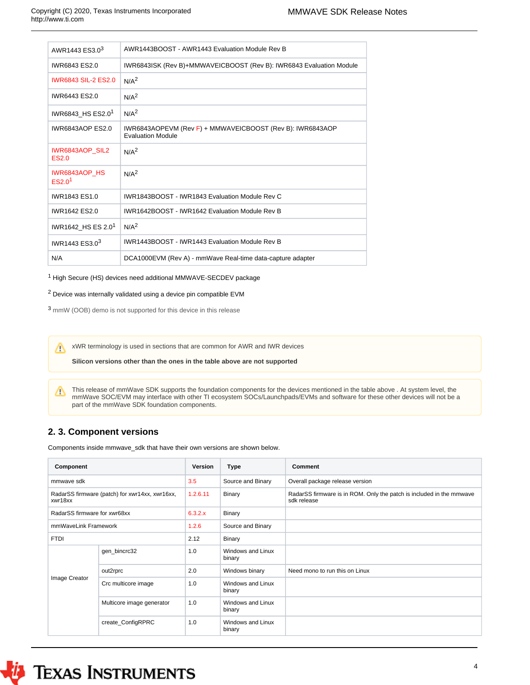| AWR1443 ES3.0 <sup>3</sup>                 | AWR1443BOOST - AWR1443 Evaluation Module Rev B                                        |
|--------------------------------------------|---------------------------------------------------------------------------------------|
| IWR6843 ES2.0                              | IWR6843ISK (Rev B)+MMWAVEICBOOST (Rev B): IWR6843 Evaluation Module                   |
| <b>IWR6843 SIL-2 ES2.0</b>                 | N/A <sup>2</sup>                                                                      |
| IWR6443 ES2.0                              | N/A <sup>2</sup>                                                                      |
| IWR6843 HS ES2.0 <sup>1</sup>              | N/A <sup>2</sup>                                                                      |
| <b>IWR6843AOP ES2.0</b>                    | IWR6843AOPEVM (Rev F) + MMWAVEICBOOST (Rev B): IWR6843AOP<br><b>Evaluation Module</b> |
| <b>IWR6843AOP SIL2</b><br>ES2.0            | N/A <sup>2</sup>                                                                      |
| <b>IWR6843AOP HS</b><br>ES2.0 <sup>1</sup> | N/A <sup>2</sup>                                                                      |
| IWR1843 ES1.0                              | IWR1843BOOST - IWR1843 Evaluation Module Rev C                                        |
| IWR1642 ES2.0                              | IWR1642BOOST - IWR1642 Evaluation Module Rev B                                        |
| IWR1642 HS ES 2.0 <sup>1</sup>             | N/A <sup>2</sup>                                                                      |
| IWR1443 ES3.0 <sup>3</sup>                 | IWR1443BOOST - IWR1443 Evaluation Module Rev B                                        |
| N/A                                        | DCA1000EVM (Rev A) - mmWave Real-time data-capture adapter                            |

 $1$  High Secure (HS) devices need additional MMWAVE-SECDEV package

<sup>2</sup> Device was internally validated using a device pin compatible EVM

<sup>3</sup> mmW (OOB) demo is not supported for this device in this release

xWR terminology is used in sections that are common for AWR and IWR devices

**Silicon versions other than the ones in the table above are not supported**

This release of mmWave SDK supports the foundation components for the devices mentioned in the table above . At system level, the Λ mmWave SOC/EVM may interface with other TI ecosystem SOCs/Launchpads/EVMs and software for these other devices will not be a part of the mmWave SDK foundation components.

## <span id="page-3-0"></span>**2. 3. Component versions**

Components inside mmwave\_sdk that have their own versions are shown below.

| Component                                                 |                           | Version  | Type                        | <b>Comment</b>                                                                      |
|-----------------------------------------------------------|---------------------------|----------|-----------------------------|-------------------------------------------------------------------------------------|
| mmwaye sdk                                                |                           | 3.5      | Source and Binary           | Overall package release version                                                     |
| RadarSS firmware (patch) for xwr14xx, xwr16xx,<br>xwr18xx |                           | 1.2.6.11 | <b>Binary</b>               | RadarSS firmware is in ROM. Only the patch is included in the mmwave<br>sdk release |
| RadarSS firmware for xwr68xx                              |                           | 6.3.2.x  | <b>Binary</b>               |                                                                                     |
| mmWaveLink Framework                                      |                           | 1.2.6    | Source and Binary           |                                                                                     |
| <b>FTDI</b>                                               |                           | 2.12     | <b>Binary</b>               |                                                                                     |
|                                                           | gen_bincrc32              | 1.0      | Windows and Linux<br>binary |                                                                                     |
|                                                           | out2rprc                  | 2.0      | Windows binary              | Need mono to run this on Linux                                                      |
| Image Creator                                             | Crc multicore image       | 1.0      | Windows and Linux<br>binary |                                                                                     |
|                                                           | Multicore image generator | 1.0      | Windows and Linux<br>binary |                                                                                     |
|                                                           | create_ConfigRPRC         | 1.0      | Windows and Linux<br>binary |                                                                                     |



# *I* TEXAS INSTRUMENTS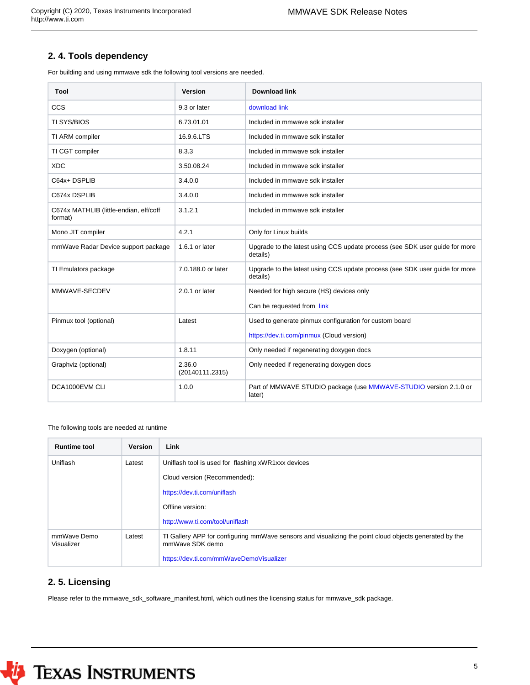## <span id="page-4-0"></span>**2. 4. Tools dependency**

For building and using mmwave sdk the following tool versions are needed.

| Tool                                              | <b>Version</b>            | Download link                                                                           |
|---------------------------------------------------|---------------------------|-----------------------------------------------------------------------------------------|
| CCS                                               | 9.3 or later              | download link                                                                           |
| <b>TI SYS/BIOS</b>                                | 6.73.01.01                | Included in mmwave sdk installer                                                        |
| TI ARM compiler                                   | 16.9.6.LTS                | Included in mmwave sdk installer                                                        |
| TI CGT compiler                                   | 8.3.3                     | Included in mmwave sdk installer                                                        |
| <b>XDC</b>                                        | 3.50.08.24                | Included in mmwave sdk installer                                                        |
| C64x+DSPLIB                                       | 3.4.0.0                   | Included in mmwave sdk installer                                                        |
| C674x DSPLIB                                      | 3.4.0.0                   | Included in mmwave sdk installer                                                        |
| C674x MATHLIB (little-endian, elf/coff<br>format) | 3.1.2.1                   | Included in mmwave sdk installer                                                        |
| Mono JIT compiler                                 | 4.2.1                     | Only for Linux builds                                                                   |
| mmWave Radar Device support package               | 1.6.1 or later            | Upgrade to the latest using CCS update process (see SDK user guide for more<br>details) |
| TI Emulators package                              | 7.0.188.0 or later        | Upgrade to the latest using CCS update process (see SDK user guide for more<br>details) |
| MMWAVE-SECDEV                                     | $2.0.1$ or later          | Needed for high secure (HS) devices only                                                |
|                                                   |                           | Can be requested from link                                                              |
| Pinmux tool (optional)                            | Latest                    | Used to generate pinmux configuration for custom board                                  |
|                                                   |                           | https://dev.ti.com/pinmux (Cloud version)                                               |
| Doxygen (optional)                                | 1.8.11                    | Only needed if regenerating doxygen docs                                                |
| Graphviz (optional)                               | 2.36.0<br>(20140111.2315) | Only needed if regenerating doxygen docs                                                |
| DCA1000EVM CLI                                    | 1.0.0                     | Part of MMWAVE STUDIO package (use MMWAVE-STUDIO version 2.1.0 or<br>later)             |

The following tools are needed at runtime

| <b>Runtime tool</b>       | <b>Version</b> | Link                                                                                                                      |  |
|---------------------------|----------------|---------------------------------------------------------------------------------------------------------------------------|--|
| Uniflash                  | Latest         | Uniflash tool is used for flashing xWR1xxx devices                                                                        |  |
|                           |                | Cloud version (Recommended):                                                                                              |  |
|                           |                | https://dev.ti.com/uniflash                                                                                               |  |
|                           |                | Offline version:                                                                                                          |  |
|                           |                | http://www.ti.com/tool/uniflash                                                                                           |  |
| mmWave Demo<br>Visualizer | Latest         | TI Gallery APP for configuring mmWave sensors and visualizing the point cloud objects generated by the<br>mmWave SDK demo |  |
|                           |                | https://dev.ti.com/mmWaveDemoVisualizer                                                                                   |  |

## <span id="page-4-1"></span>**2. 5. Licensing**

Please refer to the mmwave\_sdk\_software\_manifest.html, which outlines the licensing status for mmwave\_sdk package.

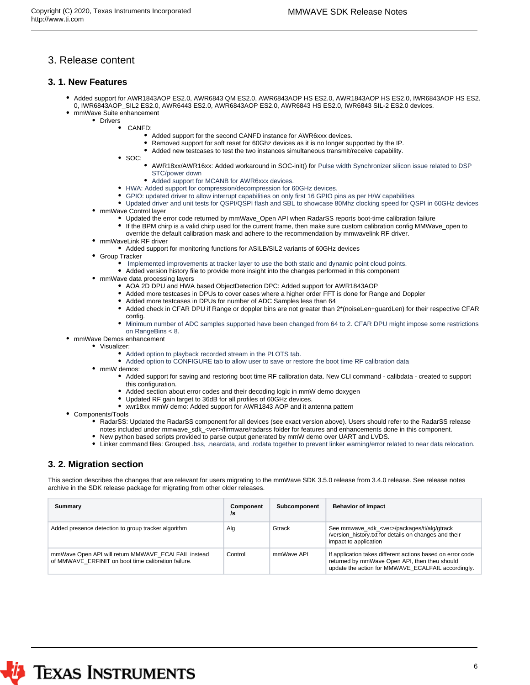## <span id="page-5-0"></span>3. Release content

#### <span id="page-5-1"></span>**3. 1. New Features**

- Added support for AWR1843AOP ES2.0, AWR6843 QM ES2.0, AWR6843AOP HS ES2.0, AWR1843AOP HS ES2.0, IWR6843AOP HS ES2. 0, IWR6843AOP\_SIL2 ES2.0, AWR6443 ES2.0, AWR6843AOP ES2.0, AWR6843 HS ES2.0, IWR6843 SIL-2 ES2.0 devices.
- mmWave Suite enhancement • Drivers
	- CANFD:
		- Added support for the second CANFD instance for AWR6xxx devices.
		- Removed support for soft reset for 60Ghz devices as it is no longer supported by the IP.
		- Added new testcases to test the two instances simultaneous transmit/receive capability.
		- SOC:
			- AWR18xx/AWR16xx: Added workaround in SOC-init() for Pulse width Synchronizer silicon issue related to DSP STC/power down
			- Added support for MCANB for AWR6xxx devices.
		- HWA: Added support for compression/decompression for 60GHz devices.
		- GPIO: updated driver to allow interrupt capabilities on only first 16 GPIO pins as per H/W capabilities
	- Updated driver and unit tests for QSPI/QSPI flash and SBL to showcase 80Mhz clocking speed for QSPI in 60GHz devices • mmWave Control laver
		- Updated the error code returned by mmWave\_Open API when RadarSS reports boot-time calibration failure
		- If the BPM chirp is a valid chirp used for the current frame, then make sure custom calibration config MMWave\_open to
		- override the default calibration mask and adhere to the recommendation by mmwavelink RF driver.
	- mmWaveLink RF driver
	- Added support for monitoring functions for ASILB/SIL2 variants of 60GHz devices
	- **Group Tracker** 
		- Implemented improvements at tracker layer to use the both static and dynamic point cloud points.
		- Added version history file to provide more insight into the changes performed in this component
	- mmWave data processing layers
		- AOA 2D DPU and HWA based ObjectDetection DPC: Added support for AWR1843AOP
		- Added more testcases in DPUs to cover cases where a higher order FFT is done for Range and Doppler
		- Added more testcases in DPUs for number of ADC Samples less than 64
		- Added check in CFAR DPU if Range or doppler bins are not greater than 2\*(noiseLen+guardLen) for their respective CFAR config.
		- Minimum number of ADC samples supported have been changed from 64 to 2. CFAR DPU might impose some restrictions on RangeBins < 8.
- mmWave Demos enhancement
	- Visualizer:
		- Added option to playback recorded stream in the PLOTS tab.
		- Added option to CONFIGURE tab to allow user to save or restore the boot time RF calibration data
		- mmW demos:
			- Added support for saving and restoring boot time RF calibration data. New CLI command calibdata created to support this configuration.
			- Added section about error codes and their decoding logic in mmW demo doxygen
			- Updated RF gain target to 36dB for all profiles of 60GHz devices.
			- xwr18xx mmW demo: Added support for AWR1843 AOP and it antenna pattern
- Components/Tools
	- RadarSS: Updated the RadarSS component for all devices (see exact version above). Users should refer to the RadarSS release notes included under mmwave\_sdk\_<ver>/firmware/radarss folder for features and enhancements done in this component.
	- New python based scripts provided to parse output generated by mmW demo over UART and LVDS.
	- Linker command files: Grouped .bss, .neardata, and .rodata together to prevent linker warning/error related to near data relocation.

## <span id="page-5-2"></span>**3. 2. Migration section**

This section describes the changes that are relevant for users migrating to the mmWave SDK 3.5.0 release from 3.4.0 release. See release notes archive in the SDK release package for migrating from other older releases.

| Summary                                                                                                    | Component<br>/s | <b>Subcomponent</b> | <b>Behavior of impact</b>                                                                                                                                         |
|------------------------------------------------------------------------------------------------------------|-----------------|---------------------|-------------------------------------------------------------------------------------------------------------------------------------------------------------------|
| Added presence detection to group tracker algorithm                                                        | Alg             | Gtrack              | See mmwave_sdk_ <ver>/packages/ti/alg/gtrack<br/>/version history.txt for details on changes and their<br/>impact to application</ver>                            |
| mmWave Open API will return MMWAVE ECALFAIL instead<br>of MMWAVE ERFINIT on boot time calibration failure. | Control         | mmWave API          | If application takes different actions based on error code<br>returned by mmWave Open API, then theu should<br>update the action for MMWAVE ECALFAIL accordingly. |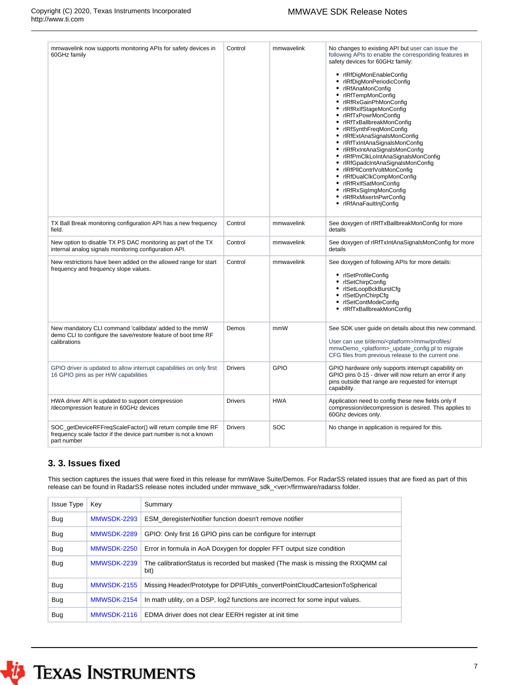| mmwavelink now supports monitoring APIs for safety devices in<br>60GHz family                                                                  | Control        | mmwavelink | No changes to existing API but user can issue the<br>following APIs to enable the corresponding features in<br>safety devices for 60GHz family:<br>• rlRfDigMonEnableConfig<br>rlRfDigMonPeriodicConfig<br>٠<br>٠<br>rlRfAnaMonConfig<br>rlRfTempMonConfig<br>rlRfRxGainPhMonConfig<br>rlRfRxlfStageMonConfig<br>rlRfTxPowrMonConfig<br>٠<br>rlRfTxBallbreakMonConfig<br>rlRfSynthFreqMonConfig<br>rlRfExtAnaSignalsMonConfig<br>rlRfTxIntAnaSignalsMonConfig<br>rlRfRxIntAnaSignalsMonConfig<br>rlRfPmClkLoIntAnaSignalsMonConfig<br>rlRfGpadcIntAnaSignalsMonConfig<br>• rlRfPllContrlVoltMonConfig<br>rlRfDualClkCompMonConfig<br>٠<br>rlRfRxlfSatMonConfig<br>rlRfRxSigImgMonConfig<br>٠<br>rlRfRxMixerInPwrConfig<br>٠<br>rlRfAnaFaultInjConfig |
|------------------------------------------------------------------------------------------------------------------------------------------------|----------------|------------|------------------------------------------------------------------------------------------------------------------------------------------------------------------------------------------------------------------------------------------------------------------------------------------------------------------------------------------------------------------------------------------------------------------------------------------------------------------------------------------------------------------------------------------------------------------------------------------------------------------------------------------------------------------------------------------------------------------------------------------------------|
| TX Ball Break monitoring configuration API has a new frequency<br>field.                                                                       | Control        | mmwavelink | See doxygen of rIRfTxBallbreakMonConfig for more<br>details                                                                                                                                                                                                                                                                                                                                                                                                                                                                                                                                                                                                                                                                                          |
| New option to disable TX PS DAC monitoring as part of the TX<br>internal analog signals monitoring configuration API.                          | Control        | mmwavelink | See doxygen of rIRfTxIntAnaSignalsMonConfig for more<br>details                                                                                                                                                                                                                                                                                                                                                                                                                                                                                                                                                                                                                                                                                      |
| New restrictions have been added on the allowed range for start<br>frequency and frequency slope values.                                       | Control        | mmwavelink | See doxygen of following APIs for more details:<br>• rlSetProfileConfig<br>rlSetChirpConfig<br>٠<br>• rlSetLoopBckBurstCfg<br>rlSetDynChirpCfg<br>rlSetContModeConfig<br>rlRfTxBallbreakMonConfig                                                                                                                                                                                                                                                                                                                                                                                                                                                                                                                                                    |
| New mandatory CLI command 'calibdata' added to the mmW<br>demo CLI to configure the save/restore feature of boot time RF<br>calibrations       | Demos          | mmW        | See SDK user guide on details about this new command.<br>User can use ti/demo/ <platform>/mmw/profiles/<br/>mmwDemo_<platform>_update_config.pl to migrate<br/>CFG files from previous release to the current one.</platform></platform>                                                                                                                                                                                                                                                                                                                                                                                                                                                                                                             |
| GPIO driver is updated to allow interrupt capabilities on only first<br>16 GPIO pins as per H/W capabilities                                   | <b>Drivers</b> | GPIO       | GPIO hardware only supports interrupt capability on<br>GPIO pins 0-15 - driver will now return an error if any<br>pins outside that range are requested for interrupt<br>capability.                                                                                                                                                                                                                                                                                                                                                                                                                                                                                                                                                                 |
| HWA driver API is updated to support compression<br>/decompression feature in 60GHz devices                                                    | <b>Drivers</b> | <b>HWA</b> | Application need to config these new fields only if<br>compression/decompression is desired. This applies to<br>60Ghz devices only.                                                                                                                                                                                                                                                                                                                                                                                                                                                                                                                                                                                                                  |
| SOC getDeviceRFFregScaleFactor() will return compile time RF<br>frequency scale factor if the device part number is not a known<br>part number | <b>Drivers</b> | <b>SOC</b> | No change in application is required for this.                                                                                                                                                                                                                                                                                                                                                                                                                                                                                                                                                                                                                                                                                                       |

## <span id="page-6-0"></span>**3. 3. Issues fixed**

This section captures the issues that were fixed in this release for mmWave Suite/Demos. For RadarSS related issues that are fixed as part of this release can be found in RadarSS release notes included under mmwave\_sdk\_<ver>/firmware/radarss folder.

| <b>Issue Type</b> | Key         | Summary                                                                                   |
|-------------------|-------------|-------------------------------------------------------------------------------------------|
| <b>Bug</b>        | MMWSDK-2293 | ESM deregisterNotifier function doesn't remove notifier                                   |
| <b>Bug</b>        | MMWSDK-2289 | GPIO: Only first 16 GPIO pins can be configure for interrupt                              |
| <b>Bug</b>        | MMWSDK-2250 | Error in formula in AoA Doxygen for doppler FFT output size condition                     |
| <b>Bug</b>        | MMWSDK-2239 | The calibration Status is recorded but masked (The mask is missing the RXIQMM cal<br>bit) |
| <b>Bug</b>        | MMWSDK-2155 | Missing Header/Prototype for DPIFUtils_convertPointCloudCartesionToSpherical              |
| <b>Bug</b>        | MMWSDK-2154 | In math utility, on a DSP, log2 functions are incorrect for some input values.            |
| <b>Bug</b>        | MMWSDK-2116 | EDMA driver does not clear EERH register at init time                                     |

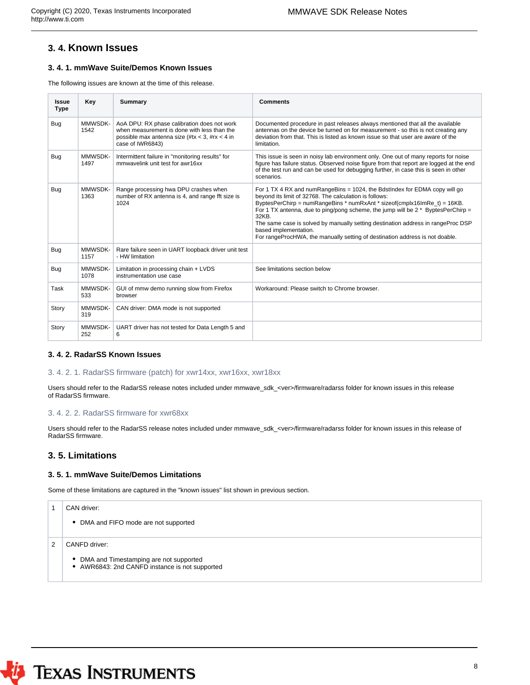## <span id="page-7-0"></span>**3. 4. Known Issues**

#### <span id="page-7-1"></span>**3. 4. 1. mmWave Suite/Demos Known Issues**

The following issues are known at the time of this release.

| <b>Issue</b><br><b>Type</b> | Key             | <b>Summary</b>                                                                                                                                                   | Comments                                                                                                                                                                                                                                                                                                                                                                                                                                                                                                     |
|-----------------------------|-----------------|------------------------------------------------------------------------------------------------------------------------------------------------------------------|--------------------------------------------------------------------------------------------------------------------------------------------------------------------------------------------------------------------------------------------------------------------------------------------------------------------------------------------------------------------------------------------------------------------------------------------------------------------------------------------------------------|
| <b>Bug</b>                  | MMWSDK-<br>1542 | AoA DPU: RX phase calibration does not work<br>when measurement is done with less than the<br>possible max antenna size (#tx < 3, #rx < 4 in<br>case of IWR6843) | Documented procedure in past releases always mentioned that all the available<br>antennas on the device be turned on for measurement - so this is not creating any<br>deviation from that. This is listed as known issue so that user are aware of the<br>limitation.                                                                                                                                                                                                                                        |
| <b>Bug</b>                  | MMWSDK-<br>1497 | Intermittent failure in "monitoring results" for<br>mmwavelink unit test for awr16xx                                                                             | This issue is seen in noisy lab environment only. One out of many reports for noise<br>figure has failure status. Observed noise figure from that report are logged at the end<br>of the test run and can be used for debugging further, in case this is seen in other<br>scenarios.                                                                                                                                                                                                                         |
| <b>Bug</b>                  | MMWSDK-<br>1363 | Range processing hwa DPU crashes when<br>number of RX antenna is 4, and range fft size is<br>1024                                                                | For 1 TX 4 RX and numRangeBins = 1024, the BdstIndex for EDMA copy will go<br>beyond its limit of 32768. The calculation is follows:<br>ByptesPerChirp = numRangeBins * numRxAnt * sizeof(cmplx16lmRe_t) = 16KB.<br>For 1 TX antenna, due to ping/pong scheme, the jump will be 2 $*$ ByptesPerChirp =<br>32KB.<br>The same case is solved by manually setting destination address in rangeProc DSP<br>based implementation.<br>For rangeProcHWA, the manually setting of destination address is not doable. |
| Bug                         | MMWSDK-<br>1157 | Rare failure seen in UART loopback driver unit test<br>- HW limitation                                                                                           |                                                                                                                                                                                                                                                                                                                                                                                                                                                                                                              |
| Bug                         | MMWSDK-<br>1078 | Limitation in processing chain + LVDS<br>instrumentation use case                                                                                                | See limitations section below                                                                                                                                                                                                                                                                                                                                                                                                                                                                                |
| Task                        | MMWSDK-<br>533  | GUI of mmw demo running slow from Firefox<br>browser                                                                                                             | Workaround: Please switch to Chrome browser.                                                                                                                                                                                                                                                                                                                                                                                                                                                                 |
| Story                       | MMWSDK-<br>319  | CAN driver: DMA mode is not supported                                                                                                                            |                                                                                                                                                                                                                                                                                                                                                                                                                                                                                                              |
| Story                       | MMWSDK-<br>252  | UART driver has not tested for Data Length 5 and<br>6                                                                                                            |                                                                                                                                                                                                                                                                                                                                                                                                                                                                                                              |

#### <span id="page-7-2"></span>**3. 4. 2. RadarSS Known Issues**

#### <span id="page-7-3"></span>3. 4. 2. 1. RadarSS firmware (patch) for xwr14xx, xwr16xx, xwr18xx

Users should refer to the RadarSS release notes included under mmwave\_sdk\_<ver>/firmware/radarss folder for known issues in this release of RadarSS firmware.

#### <span id="page-7-4"></span>3. 4. 2. 2. RadarSS firmware for xwr68xx

Users should refer to the RadarSS release notes included under mmwave\_sdk\_<ver>/firmware/radarss folder for known issues in this release of RadarSS firmware.

#### <span id="page-7-5"></span>**3. 5. Limitations**

#### <span id="page-7-6"></span>**3. 5. 1. mmWave Suite/Demos Limitations**

Some of these limitations are captured in the "known issues" list shown in previous section.

|   | CAN driver:                                                                                                 |
|---|-------------------------------------------------------------------------------------------------------------|
|   | • DMA and FIFO mode are not supported                                                                       |
| 2 | CANFD driver:<br>• DMA and Timestamping are not supported<br>• AWR6843: 2nd CANFD instance is not supported |

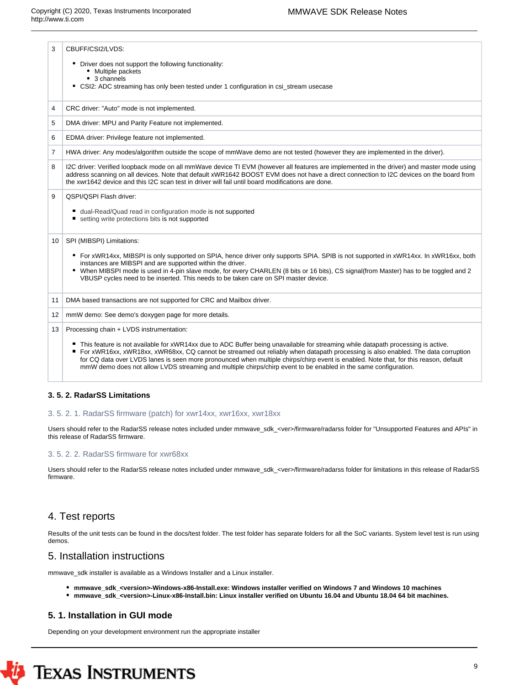| 3              | CBUFF/CSI2/LVDS:                                                                                                                                                                                                                                                                                                                                                                          |
|----------------|-------------------------------------------------------------------------------------------------------------------------------------------------------------------------------------------------------------------------------------------------------------------------------------------------------------------------------------------------------------------------------------------|
|                | • Driver does not support the following functionality:<br>• Multiple packets                                                                                                                                                                                                                                                                                                              |
|                | • 3 channels                                                                                                                                                                                                                                                                                                                                                                              |
|                | • CSI2: ADC streaming has only been tested under 1 configuration in csi_stream usecase                                                                                                                                                                                                                                                                                                    |
| 4              | CRC driver: "Auto" mode is not implemented.                                                                                                                                                                                                                                                                                                                                               |
| 5              | DMA driver: MPU and Parity Feature not implemented.                                                                                                                                                                                                                                                                                                                                       |
| 6              | EDMA driver: Privilege feature not implemented.                                                                                                                                                                                                                                                                                                                                           |
| $\overline{7}$ | HWA driver: Any modes/algorithm outside the scope of mmWave demo are not tested (however they are implemented in the driver).                                                                                                                                                                                                                                                             |
| 8              | I2C driver: Verified loopback mode on all mmWave device TI EVM (however all features are implemented in the driver) and master mode using<br>address scanning on all devices. Note that default xWR1642 BOOST EVM does not have a direct connection to I2C devices on the board from<br>the xwr1642 device and this I2C scan test in driver will fail until board modifications are done. |
| 9              | QSPI/QSPI Flash driver:                                                                                                                                                                                                                                                                                                                                                                   |
|                | dual-Read/Quad read in configuration mode is not supported                                                                                                                                                                                                                                                                                                                                |
|                | setting write protections bits is not supported                                                                                                                                                                                                                                                                                                                                           |
|                |                                                                                                                                                                                                                                                                                                                                                                                           |
| 10             | SPI (MIBSPI) Limitations:                                                                                                                                                                                                                                                                                                                                                                 |
|                | • For xWR14xx, MIBSPI is only supported on SPIA, hence driver only supports SPIA. SPIB is not supported in xWR14xx. In xWR16xx, both                                                                                                                                                                                                                                                      |
|                | instances are MIBSPI and are supported within the driver.                                                                                                                                                                                                                                                                                                                                 |
|                | • When MIBSPI mode is used in 4-pin slave mode, for every CHARLEN (8 bits or 16 bits), CS signal(from Master) has to be toggled and 2<br>VBUSP cycles need to be inserted. This needs to be taken care on SPI master device.                                                                                                                                                              |
|                |                                                                                                                                                                                                                                                                                                                                                                                           |
| 11             | DMA based transactions are not supported for CRC and Mailbox driver.                                                                                                                                                                                                                                                                                                                      |
| 12             | mmW demo: See demo's doxygen page for more details.                                                                                                                                                                                                                                                                                                                                       |
| 13             | Processing chain + LVDS instrumentation:                                                                                                                                                                                                                                                                                                                                                  |
|                | This feature is not available for xWR14xx due to ADC Buffer being unavailable for streaming while datapath processing is active.                                                                                                                                                                                                                                                          |
|                | ■ For xWR16xx, xWR18xx, xWR68xx, CQ cannot be streamed out reliably when datapath processing is also enabled. The data corruption                                                                                                                                                                                                                                                         |
|                | for CQ data over LVDS lanes is seen more pronounced when multiple chirps/chirp event is enabled. Note that, for this reason, default                                                                                                                                                                                                                                                      |
|                | mmW demo does not allow LVDS streaming and multiple chirps/chirp event to be enabled in the same configuration.                                                                                                                                                                                                                                                                           |
|                |                                                                                                                                                                                                                                                                                                                                                                                           |

#### <span id="page-8-0"></span>**3. 5. 2. RadarSS Limitations**

#### <span id="page-8-1"></span>3. 5. 2. 1. RadarSS firmware (patch) for xwr14xx, xwr16xx, xwr18xx

Users should refer to the RadarSS release notes included under mmwave\_sdk\_<ver>/firmware/radarss folder for "Unsupported Features and APIs" in this release of RadarSS firmware.

#### <span id="page-8-2"></span>3. 5. 2. 2. RadarSS firmware for xwr68xx

Users should refer to the RadarSS release notes included under mmwave\_sdk\_<ver>/firmware/radarss folder for limitations in this release of RadarSS firmware.

## <span id="page-8-3"></span>4. Test reports

Results of the unit tests can be found in the docs/test folder. The test folder has separate folders for all the SoC variants. System level test is run using demos.

## <span id="page-8-4"></span>5. Installation instructions

mmwave\_sdk installer is available as a Windows Installer and a Linux installer.

- **mmwave\_sdk\_<version>-Windows-x86-Install.exe: Windows installer verified on Windows 7 and Windows 10 machines**
- **mmwave\_sdk\_<version>-Linux-x86-Install.bin: Linux installer verified on Ubuntu 16.04 and Ubuntu 18.04 64 bit machines.**

## <span id="page-8-5"></span>**5. 1. Installation in GUI mode**

Depending on your development environment run the appropriate installer

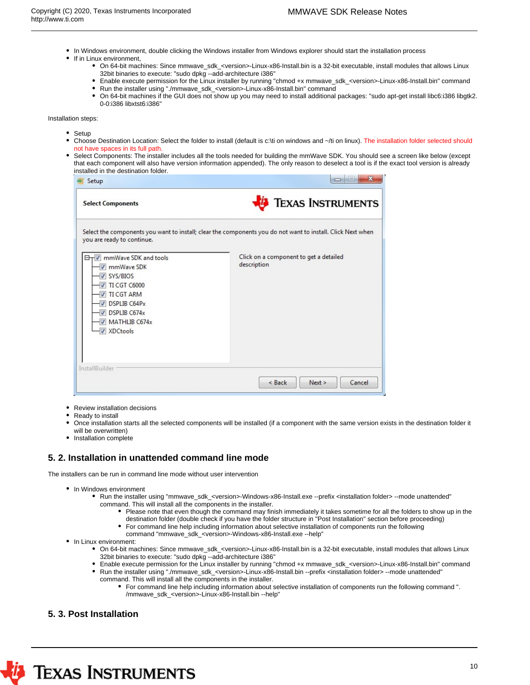- In Windows environment, double clicking the Windows installer from Windows explorer should start the installation process
- If in Linux environment,
	- On 64-bit machines: Since mmwave\_sdk\_<version>-Linux-x86-Install.bin is a 32-bit executable, install modules that allows Linux 32bit binaries to execute: "sudo dpkg --add-architecture i386"
	- Enable execute permission for the Linux installer by running "chmod +x mmwave\_sdk\_<version>-Linux-x86-Install.bin" command
	- Run the installer using "./mmwave\_sdk\_<version>-Linux-x86-Install.bin" command
	- $\bullet$ On 64-bit machines if the GUI does not show up you may need to install additional packages: "sudo apt-get install libc6:i386 libgtk2. 0-0:i386 libxtst6:i386"

Installation steps:

- Setup
- Choose Destination Location: Select the folder to install (default is c:\ti on windows and ~/ti on linux). The installation folder selected should not have spaces in its full path.
- Select Components: The installer includes all the tools needed for building the mmWave SDK. You should see a screen like below (except that each component will also have version information appended). The only reason to deselect a tool is if the exact tool version is already installed in the destination folder.

| Setup                                                                                                                                                                                      | $\mathbf{x}$                                                                                                |
|--------------------------------------------------------------------------------------------------------------------------------------------------------------------------------------------|-------------------------------------------------------------------------------------------------------------|
| <b>Select Components</b>                                                                                                                                                                   | <b>EXAS INSTRUMENTS</b>                                                                                     |
| you are ready to continue.                                                                                                                                                                 | Select the components you want to install; clear the components you do not want to install. Click Next when |
| OTV mmWave SDK and tools<br><b>V</b> mmWave SDK<br>V SYS/BIOS<br>TI CGT C6000<br><b>V</b> TI CGT ARM<br>DSPLIB C64Px<br>$\triangledown$ DSPLIB C674x<br>MATHLIB C674x<br><b>V</b> XDCtools | Click on a component to get a detailed<br>description                                                       |
| <b>InstallBuilder</b>                                                                                                                                                                      | Cancel<br>Next ><br>$<$ Back                                                                                |

- Review installation decisions
- Ready to install
- Once installation starts all the selected components will be installed (if a component with the same version exists in the destination folder it will be overwritten)
- Installation complete

#### <span id="page-9-0"></span>**5. 2. Installation in unattended command line mode**

The installers can be run in command line mode without user intervention

- In Windows environment
	- Run the installer using "mmwave\_sdk\_<version>-Windows-x86-Install.exe --prefix <installation folder> --mode unattended" command. This will install all the components in the installer.
		- Please note that even though the command may finish immediately it takes sometime for all the folders to show up in the destination folder (double check if you have the folder structure in "Post Installation" section before proceeding)
		- For command line help including information about selective installation of components run the following command "mmwave\_sdk\_<version>-Windows-x86-Install.exe --help"
- In Linux environment:
	- On 64-bit machines: Since mmwave\_sdk\_<version>-Linux-x86-Install.bin is a 32-bit executable, install modules that allows Linux 32bit binaries to execute: "sudo dpkg --add-architecture i386"
	- Enable execute permission for the Linux installer by running "chmod +x mmwave\_sdk\_<version>-Linux-x86-Install.bin" command Run the installer using "./mmwave\_sdk\_<version>-Linux-x86-Install.bin --prefix <installation folder> --mode unattended"
	- command. This will install all the components in the installer.
		- For command line help including information about selective installation of components run the following command ". /mmwave\_sdk\_<version>-Linux-x86-Install.bin --help"

## <span id="page-9-1"></span>**5. 3. Post Installation**

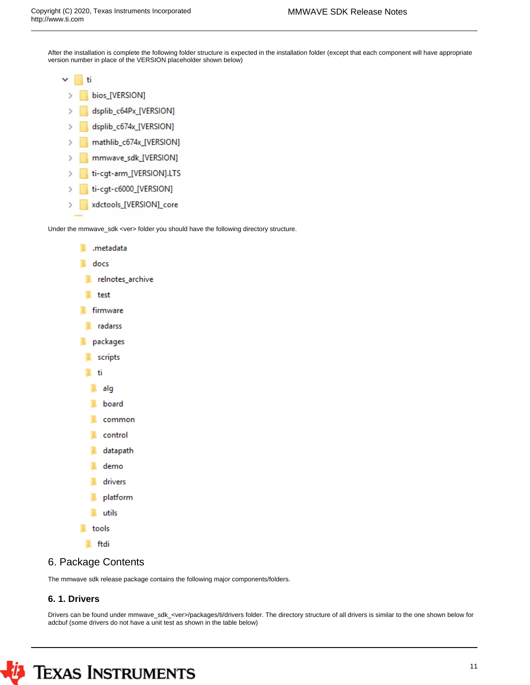After the installation is complete the following folder structure is expected in the installation folder (except that each component will have appropriate version number in place of the VERSION placeholder shown below)

| T١ |
|----|
|    |

- bios\_[VERSION]  $\mathbf{S}$
- dsplib\_c64Px\_[VERSION]
- dsplib\_c674x\_[VERSION]  $\mathbf{S}$
- mathlib\_c674x\_[VERSION] s
- mmwave\_sdk\_[VERSION]
- ti-cgt-arm\_[VERSION].LTS
- ti-cgt-c6000\_[VERSION]  $\mathcal{P}$
- xdctools\_[VERSION]\_core  $\left\langle \right\rangle$

Under the mmwave\_sdk <ver> folder you should have the following directory structure.



## <span id="page-10-0"></span>6. Package Contents

The mmwave sdk release package contains the following major components/folders.

## <span id="page-10-1"></span>**6. 1. Drivers**

Drivers can be found under mmwave\_sdk\_<ver>/packages/ti/drivers folder. The directory structure of all drivers is similar to the one shown below for adcbuf (some drivers do not have a unit test as shown in the table below)

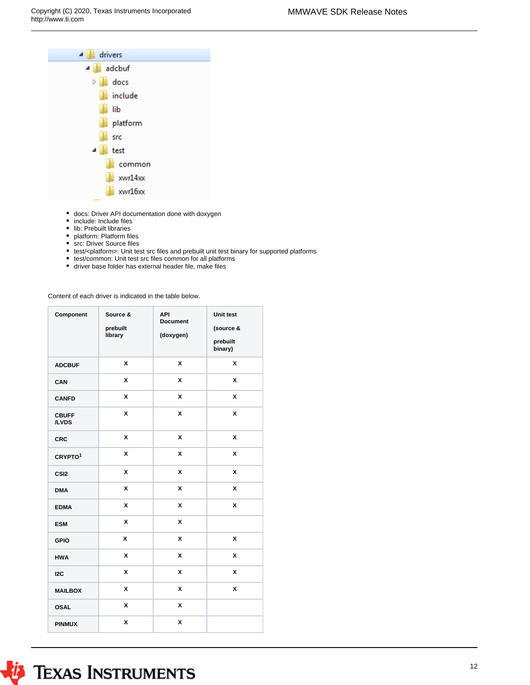

- docs: Driver API documentation done with doxygen
- include: Include files
- lib: Prebuilt libraries
- platform: Platform files
- src: Driver Source files
- test/<platform>: Unit test src files and prebuilt unit test binary for supported platforms
- test/common: Unit test src files common for all platforms
- driver base folder has external header file, make files

Content of each driver is indicated in the table below.

| Component             | Source &<br>prebuilt<br>library | <b>API</b><br><b>Document</b><br>(doxygen) | Unit test<br>(source &<br>prebuilt<br>binary) |
|-----------------------|---------------------------------|--------------------------------------------|-----------------------------------------------|
| <b>ADCBUF</b>         | X                               | x                                          | X                                             |
| CAN                   | X                               | X                                          | X                                             |
| <b>CANFD</b>          | X                               | X                                          | X                                             |
| <b>CBUFF</b><br>/LVDS | X                               | x                                          | X                                             |
| <b>CRC</b>            | X                               | X                                          | X                                             |
| CRYPTO <sup>1</sup>   | X                               | X                                          | X                                             |
| CSI <sub>2</sub>      | X                               | X                                          | $\pmb{\mathsf{x}}$                            |
| <b>DMA</b>            | X                               | X                                          | X                                             |
| <b>EDMA</b>           | X                               | X                                          | X                                             |
| <b>ESM</b>            | X                               | X                                          |                                               |
| <b>GPIO</b>           | X                               | X                                          | X                                             |
| <b>HWA</b>            | X                               | X                                          | X                                             |
| 12C                   | X                               | X                                          | X                                             |
| <b>MAILBOX</b>        | X                               | X                                          | X                                             |
| <b>OSAL</b>           | X                               | X                                          |                                               |
| <b>PINMUX</b>         | X                               | X                                          |                                               |

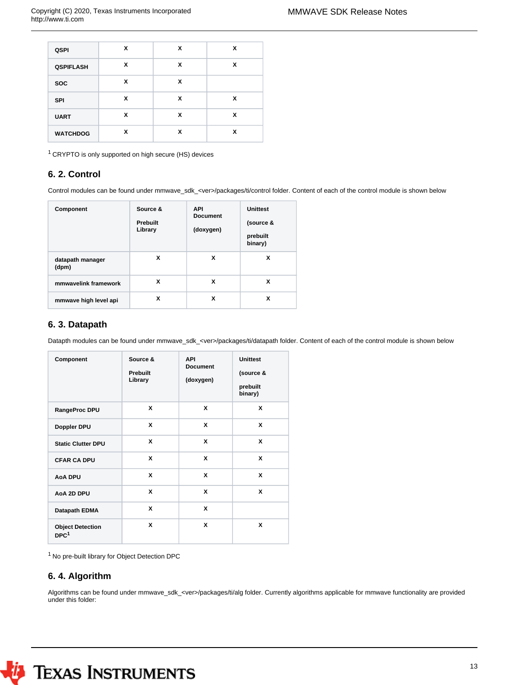| <b>QSPI</b>      | X | X | X |
|------------------|---|---|---|
| <b>QSPIFLASH</b> | x | X | x |
| <b>SOC</b>       | X | X |   |
| <b>SPI</b>       | X | X | X |
| <b>UART</b>      | X | X | X |
| <b>WATCHDOG</b>  | x | x | x |

<sup>1</sup>CRYPTO is only supported on high secure (HS) devices

## <span id="page-12-0"></span>**6. 2. Control**

Control modules can be found under mmwave\_sdk\_<ver>/packages/ti/control folder. Content of each of the control module is shown below

| Component                 | Source &<br><b>Prebuilt</b><br>Library | <b>API</b><br><b>Document</b><br>(doxygen) | <b>Unittest</b><br>(source &<br>prebuilt<br>binary) |
|---------------------------|----------------------------------------|--------------------------------------------|-----------------------------------------------------|
| datapath manager<br>(dpm) | x                                      | x                                          | x                                                   |
| mmwavelink framework      | x                                      | x                                          | x                                                   |
| mmwave high level api     | x                                      | x                                          | x                                                   |

#### <span id="page-12-1"></span>**6. 3. Datapath**

Datapth modules can be found under mmwave\_sdk\_<ver>/packages/ti/datapath folder. Content of each of the control module is shown below

| Component                                   | Source &<br>Prebuilt<br>Library | <b>API</b><br><b>Document</b><br>(doxygen) | <b>Unittest</b><br>(source &<br>prebuilt<br>binary) |
|---------------------------------------------|---------------------------------|--------------------------------------------|-----------------------------------------------------|
| RangeProc DPU                               | x                               | X                                          | X                                                   |
| Doppler DPU                                 | X                               | X                                          | X                                                   |
| <b>Static Clutter DPU</b>                   | X                               | X                                          | X                                                   |
| <b>CFAR CA DPU</b>                          | X                               | X                                          | X                                                   |
| <b>AoA DPU</b>                              | X                               | X                                          | X                                                   |
| AoA 2D DPU                                  | X                               | X                                          | X                                                   |
| Datapath EDMA                               | X                               | X                                          |                                                     |
| <b>Object Detection</b><br>DPC <sup>1</sup> | X                               | X                                          | X                                                   |

 $^1$  No pre-built library for Object Detection DPC  $\,$ 

## <span id="page-12-2"></span>**6. 4. Algorithm**

Algorithms can be found under mmwave\_sdk\_<ver>/packages/ti/alg folder. Currently algorithms applicable for mmwave functionality are provided under this folder:

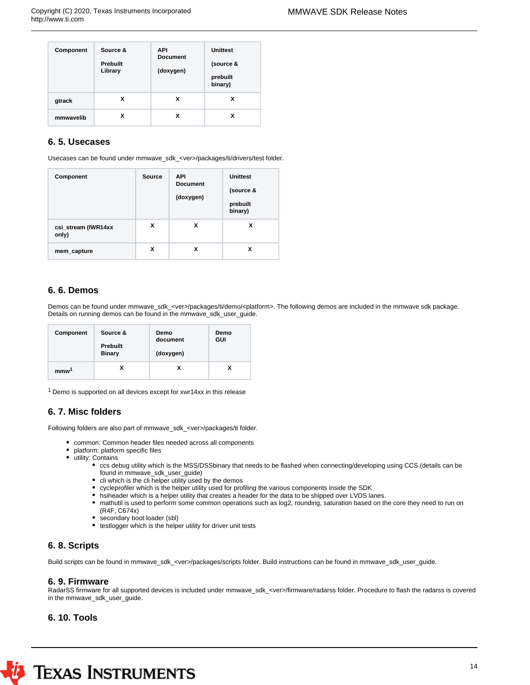| Component | Source &<br><b>Prebuilt</b><br>Library | <b>API</b><br><b>Document</b><br>(doxygen) | <b>Unittest</b><br>(source &<br>prebuilt<br>binary) |
|-----------|----------------------------------------|--------------------------------------------|-----------------------------------------------------|
| gtrack    | x                                      | x                                          | х                                                   |
| mmwavelib | x                                      | x                                          | x                                                   |

## <span id="page-13-0"></span>**6. 5. Usecases**

Usecases can be found under mmwave\_sdk\_<ver>/packages/ti/drivers/test folder.

| Component                    | <b>Source</b> | <b>API</b><br><b>Document</b><br>(doxygen) | <b>Unittest</b><br>(source &<br>prebuilt<br>binary) |
|------------------------------|---------------|--------------------------------------------|-----------------------------------------------------|
| csi_stream (IWR14xx<br>only) | X             | x                                          | x                                                   |
| mem_capture                  | X             | x                                          | х                                                   |

## <span id="page-13-1"></span>**6. 6. Demos**

Demos can be found under mmwave\_sdk\_<ver>/packages/ti/demo/<platform>. The following demos are included in the mmwave sdk package. Details on running demos can be found in the mmwave\_sdk\_user\_guide.

| Component        | Source &<br><b>Prebuilt</b><br><b>Binary</b> | Demo<br>document<br>(doxygen) | Demo<br>GUI |
|------------------|----------------------------------------------|-------------------------------|-------------|
| mmw <sup>1</sup> |                                              | x                             | x           |

 $1$  Demo is supported on all devices except for xwr14xx in this release

## <span id="page-13-2"></span>**6. 7. Misc folders**

Following folders are also part of mmwave\_sdk\_<ver>/packages/ti folder.

- common: Common header files needed across all components
	- platform: platform specific files
- utility: Contains
	- ccs debug utility which is the MSS/DSSbinary that needs to be flashed when connecting/developing using CCS (details can be found in mmwave\_sdk\_user\_guide)
	- $\bullet$  cli which is the cli helper utility used by the demos
	- cycleprofiler which is the helper utility used for profiling the various components inside the SDK
	- hsiheader which is a helper utility that creates a header for the data to be shipped over LVDS lanes.
	- mathutil is used to perform some common operations such as log2, rounding, saturation based on the core they need to run on (R4F, C674x)
	- secondary boot loader (sbl)
	- testlogger which is the helper utility for driver unit tests

## <span id="page-13-3"></span>**6. 8. Scripts**

Build scripts can be found in mmwave\_sdk\_<ver>/packages/scripts folder. Build instructions can be found in mmwave\_sdk\_user\_guide.

#### <span id="page-13-4"></span>**6. 9. Firmware**

RadarSS firmware for all supported devices is included under mmwave\_sdk\_<ver>/firmware/radarss folder. Procedure to flash the radarss is covered in the mmwave\_sdk\_user\_guide.

#### <span id="page-13-5"></span>**6. 10. Tools**